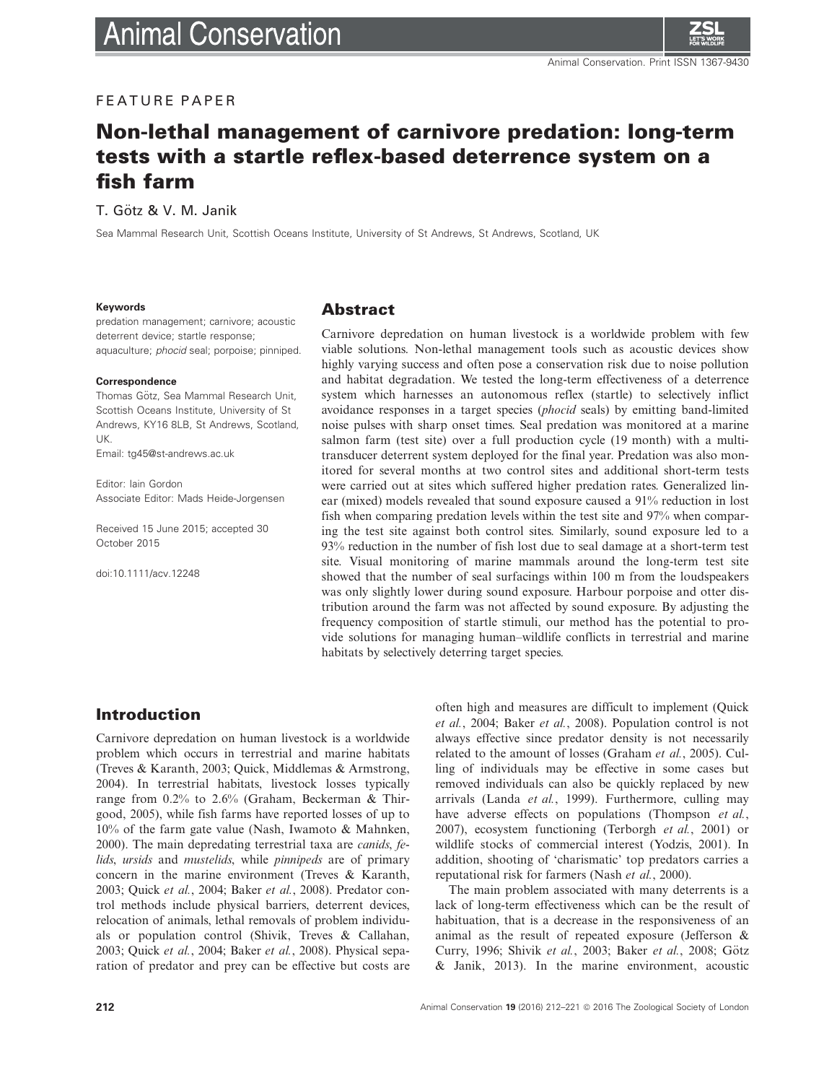# FEATURE PAPER

# Non-lethal management of carnivore predation: long-term tests with a startle reflex-based deterrence system on a fish farm

T. Götz & V. M. Janik

Sea Mammal Research Unit, Scottish Oceans Institute, University of St Andrews, St Andrews, Scotland, UK

#### Keywords

predation management; carnivore; acoustic deterrent device; startle response; aquaculture; phocid seal; porpoise; pinniped.

#### Correspondence

Thomas Götz, Sea Mammal Research Unit, Scottish Oceans Institute, University of St Andrews, KY16 8LB, St Andrews, Scotland, UK.

Email: tg45@st-andrews.ac.uk

Editor: Iain Gordon Associate Editor: Mads Heide-Jorgensen

Received 15 June 2015; accepted 30 October 2015

doi:10.1111/acv.12248

### Abstract

Carnivore depredation on human livestock is a worldwide problem with few viable solutions. Non-lethal management tools such as acoustic devices show highly varying success and often pose a conservation risk due to noise pollution and habitat degradation. We tested the long-term effectiveness of a deterrence system which harnesses an autonomous reflex (startle) to selectively inflict avoidance responses in a target species (phocid seals) by emitting band-limited noise pulses with sharp onset times. Seal predation was monitored at a marine salmon farm (test site) over a full production cycle (19 month) with a multitransducer deterrent system deployed for the final year. Predation was also monitored for several months at two control sites and additional short-term tests were carried out at sites which suffered higher predation rates. Generalized linear (mixed) models revealed that sound exposure caused a 91% reduction in lost fish when comparing predation levels within the test site and 97% when comparing the test site against both control sites. Similarly, sound exposure led to a 93% reduction in the number of fish lost due to seal damage at a short-term test site. Visual monitoring of marine mammals around the long-term test site showed that the number of seal surfacings within 100 m from the loudspeakers was only slightly lower during sound exposure. Harbour porpoise and otter distribution around the farm was not affected by sound exposure. By adjusting the frequency composition of startle stimuli, our method has the potential to provide solutions for managing human–wildlife conflicts in terrestrial and marine habitats by selectively deterring target species.

# Introduction

Carnivore depredation on human livestock is a worldwide problem which occurs in terrestrial and marine habitats (Treves & Karanth, 2003; Quick, Middlemas & Armstrong, 2004). In terrestrial habitats, livestock losses typically range from 0.2% to 2.6% (Graham, Beckerman & Thirgood, 2005), while fish farms have reported losses of up to 10% of the farm gate value (Nash, Iwamoto & Mahnken, 2000). The main depredating terrestrial taxa are canids, felids, ursids and mustelids, while *pinnipeds* are of primary concern in the marine environment (Treves & Karanth, 2003; Quick et al., 2004; Baker et al., 2008). Predator control methods include physical barriers, deterrent devices, relocation of animals, lethal removals of problem individuals or population control (Shivik, Treves & Callahan, 2003; Quick et al., 2004; Baker et al., 2008). Physical separation of predator and prey can be effective but costs are often high and measures are difficult to implement (Quick et al., 2004; Baker et al., 2008). Population control is not always effective since predator density is not necessarily related to the amount of losses (Graham et al., 2005). Culling of individuals may be effective in some cases but removed individuals can also be quickly replaced by new arrivals (Landa et al., 1999). Furthermore, culling may have adverse effects on populations (Thompson et al., 2007), ecosystem functioning (Terborgh et al., 2001) or wildlife stocks of commercial interest (Yodzis, 2001). In addition, shooting of 'charismatic' top predators carries a reputational risk for farmers (Nash et al., 2000).

The main problem associated with many deterrents is a lack of long-term effectiveness which can be the result of habituation, that is a decrease in the responsiveness of an animal as the result of repeated exposure (Jefferson & Curry, 1996; Shivik et al., 2003; Baker et al., 2008; Götz & Janik, 2013). In the marine environment, acoustic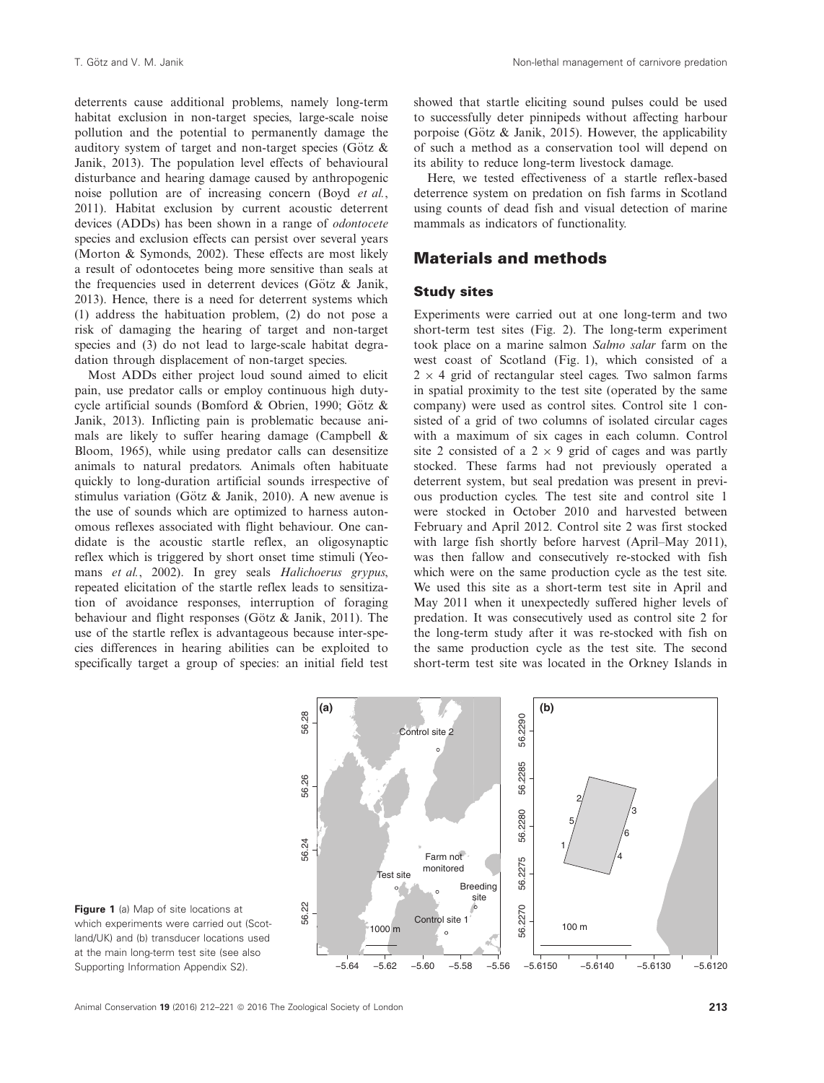deterrents cause additional problems, namely long-term habitat exclusion in non-target species, large-scale noise pollution and the potential to permanently damage the auditory system of target and non-target species (Götz  $\&$ Janik, 2013). The population level effects of behavioural disturbance and hearing damage caused by anthropogenic noise pollution are of increasing concern (Boyd et al., 2011). Habitat exclusion by current acoustic deterrent devices (ADDs) has been shown in a range of odontocete species and exclusion effects can persist over several years (Morton & Symonds, 2002). These effects are most likely a result of odontocetes being more sensitive than seals at the frequencies used in deterrent devices (Götz  $\&$  Janik, 2013). Hence, there is a need for deterrent systems which (1) address the habituation problem, (2) do not pose a risk of damaging the hearing of target and non-target species and (3) do not lead to large-scale habitat degradation through displacement of non-target species.

Most ADDs either project loud sound aimed to elicit pain, use predator calls or employ continuous high dutycycle artificial sounds (Bomford & Obrien, 1990; Götz & Janik, 2013). Inflicting pain is problematic because animals are likely to suffer hearing damage (Campbell & Bloom, 1965), while using predator calls can desensitize animals to natural predators. Animals often habituate quickly to long-duration artificial sounds irrespective of stimulus variation (Götz & Janik, 2010). A new avenue is the use of sounds which are optimized to harness autonomous reflexes associated with flight behaviour. One candidate is the acoustic startle reflex, an oligosynaptic reflex which is triggered by short onset time stimuli (Yeomans et al., 2002). In grey seals Halichoerus grypus, repeated elicitation of the startle reflex leads to sensitization of avoidance responses, interruption of foraging behaviour and flight responses (Götz  $\&$  Janik, 2011). The use of the startle reflex is advantageous because inter-species differences in hearing abilities can be exploited to specifically target a group of species: an initial field test

showed that startle eliciting sound pulses could be used to successfully deter pinnipeds without affecting harbour porpoise (Götz  $\&$  Janik, 2015). However, the applicability of such a method as a conservation tool will depend on its ability to reduce long-term livestock damage.

Here, we tested effectiveness of a startle reflex-based deterrence system on predation on fish farms in Scotland using counts of dead fish and visual detection of marine mammals as indicators of functionality.

# Materials and methods

### Study sites

Experiments were carried out at one long-term and two short-term test sites (Fig. 2). The long-term experiment took place on a marine salmon Salmo salar farm on the west coast of Scotland (Fig. 1), which consisted of a  $2 \times 4$  grid of rectangular steel cages. Two salmon farms in spatial proximity to the test site (operated by the same company) were used as control sites. Control site 1 consisted of a grid of two columns of isolated circular cages with a maximum of six cages in each column. Control site 2 consisted of a  $2 \times 9$  grid of cages and was partly stocked. These farms had not previously operated a deterrent system, but seal predation was present in previous production cycles. The test site and control site 1 were stocked in October 2010 and harvested between February and April 2012. Control site 2 was first stocked with large fish shortly before harvest (April–May 2011), was then fallow and consecutively re-stocked with fish which were on the same production cycle as the test site. We used this site as a short-term test site in April and May 2011 when it unexpectedly suffered higher levels of predation. It was consecutively used as control site 2 for the long-term study after it was re-stocked with fish on the same production cycle as the test site. The second short-term test site was located in the Orkney Islands in



Figure 1 (a) Map of site locations at which experiments were carried out (Scotland/UK) and (b) transducer locations used at the main long-term test site (see also Supporting Information Appendix S2).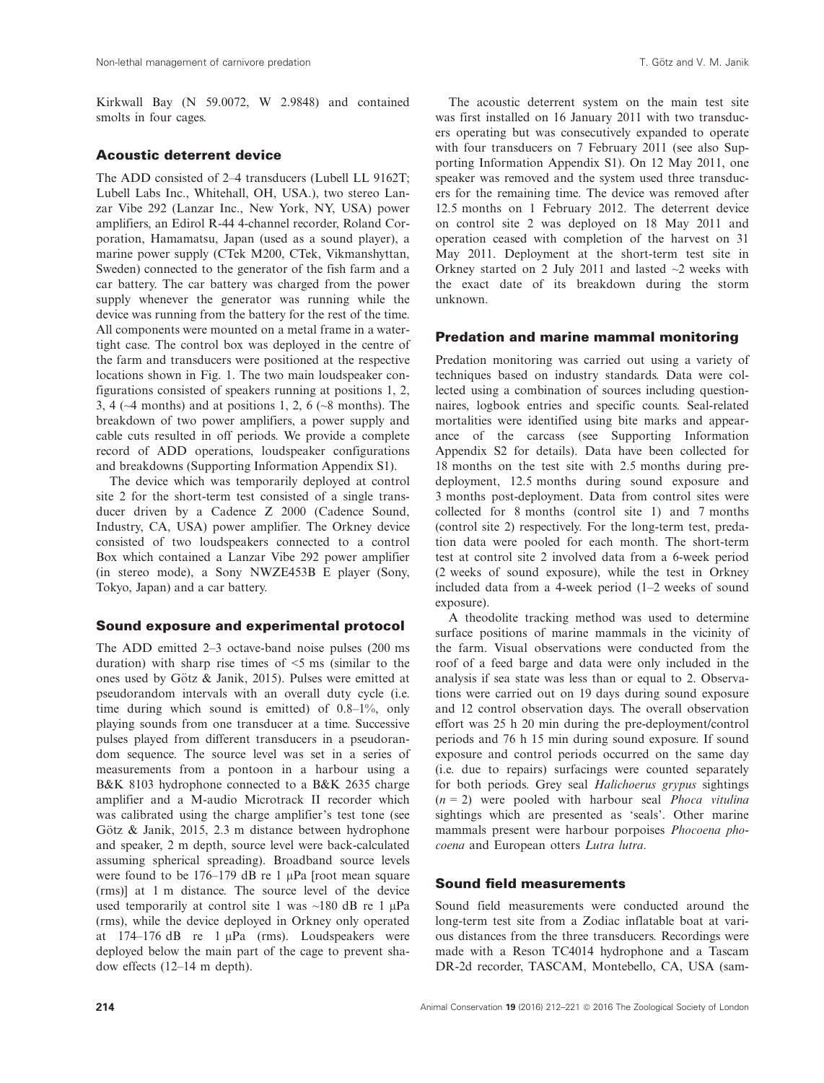Kirkwall Bay (N 59.0072, W 2.9848) and contained smolts in four cages.

### Acoustic deterrent device

The ADD consisted of 2–4 transducers (Lubell LL 9162T; Lubell Labs Inc., Whitehall, OH, USA.), two stereo Lanzar Vibe 292 (Lanzar Inc., New York, NY, USA) power amplifiers, an Edirol R-44 4-channel recorder, Roland Corporation, Hamamatsu, Japan (used as a sound player), a marine power supply (CTek M200, CTek, Vikmanshyttan, Sweden) connected to the generator of the fish farm and a car battery. The car battery was charged from the power supply whenever the generator was running while the device was running from the battery for the rest of the time. All components were mounted on a metal frame in a watertight case. The control box was deployed in the centre of the farm and transducers were positioned at the respective locations shown in Fig. 1. The two main loudspeaker configurations consisted of speakers running at positions 1, 2, 3, 4 ( $\sim$ 4 months) and at positions 1, 2, 6 ( $\sim$ 8 months). The breakdown of two power amplifiers, a power supply and cable cuts resulted in off periods. We provide a complete record of ADD operations, loudspeaker configurations and breakdowns (Supporting Information Appendix S1).

The device which was temporarily deployed at control site 2 for the short-term test consisted of a single transducer driven by a Cadence Z 2000 (Cadence Sound, Industry, CA, USA) power amplifier. The Orkney device consisted of two loudspeakers connected to a control Box which contained a Lanzar Vibe 292 power amplifier (in stereo mode), a Sony NWZE453B E player (Sony, Tokyo, Japan) and a car battery.

#### Sound exposure and experimental protocol

The ADD emitted 2–3 octave-band noise pulses (200 ms duration) with sharp rise times of  $\leq$ 5 ms (similar to the ones used by Götz  $\&$  Janik, 2015). Pulses were emitted at pseudorandom intervals with an overall duty cycle (i.e. time during which sound is emitted) of 0.8–1%, only playing sounds from one transducer at a time. Successive pulses played from different transducers in a pseudorandom sequence. The source level was set in a series of measurements from a pontoon in a harbour using a B&K 8103 hydrophone connected to a B&K 2635 charge amplifier and a M-audio Microtrack II recorder which was calibrated using the charge amplifier's test tone (see Götz  $\&$  Janik, 2015, 2.3 m distance between hydrophone and speaker, 2 m depth, source level were back-calculated assuming spherical spreading). Broadband source levels were found to be  $176-179$  dB re 1  $\mu$ Pa [root mean square (rms)] at 1 m distance. The source level of the device used temporarily at control site 1 was  $\sim$ 180 dB re 1  $\mu$ Pa (rms), while the device deployed in Orkney only operated at  $174-176$  dB re 1  $\mu$ Pa (rms). Loudspeakers were deployed below the main part of the cage to prevent shadow effects (12–14 m depth).

The acoustic deterrent system on the main test site was first installed on 16 January 2011 with two transducers operating but was consecutively expanded to operate with four transducers on 7 February 2011 (see also Supporting Information Appendix S1). On 12 May 2011, one speaker was removed and the system used three transducers for the remaining time. The device was removed after 12.5 months on 1 February 2012. The deterrent device on control site 2 was deployed on 18 May 2011 and operation ceased with completion of the harvest on 31 May 2011. Deployment at the short-term test site in Orkney started on 2 July 2011 and lasted  $\sim$ 2 weeks with the exact date of its breakdown during the storm unknown.

### Predation and marine mammal monitoring

Predation monitoring was carried out using a variety of techniques based on industry standards. Data were collected using a combination of sources including questionnaires, logbook entries and specific counts. Seal-related mortalities were identified using bite marks and appearance of the carcass (see Supporting Information Appendix S2 for details). Data have been collected for 18 months on the test site with 2.5 months during predeployment, 12.5 months during sound exposure and 3 months post-deployment. Data from control sites were collected for 8 months (control site 1) and 7 months (control site 2) respectively. For the long-term test, predation data were pooled for each month. The short-term test at control site 2 involved data from a 6-week period (2 weeks of sound exposure), while the test in Orkney included data from a 4-week period (1–2 weeks of sound exposure).

A theodolite tracking method was used to determine surface positions of marine mammals in the vicinity of the farm. Visual observations were conducted from the roof of a feed barge and data were only included in the analysis if sea state was less than or equal to 2. Observations were carried out on 19 days during sound exposure and 12 control observation days. The overall observation effort was 25 h 20 min during the pre-deployment/control periods and 76 h 15 min during sound exposure. If sound exposure and control periods occurred on the same day (i.e. due to repairs) surfacings were counted separately for both periods. Grey seal Halichoerus grypus sightings  $(n = 2)$  were pooled with harbour seal *Phoca vitulina* sightings which are presented as 'seals'. Other marine mammals present were harbour porpoises Phocoena phocoena and European otters Lutra lutra.

## Sound field measurements

Sound field measurements were conducted around the long-term test site from a Zodiac inflatable boat at various distances from the three transducers. Recordings were made with a Reson TC4014 hydrophone and a Tascam DR-2d recorder, TASCAM, Montebello, CA, USA (sam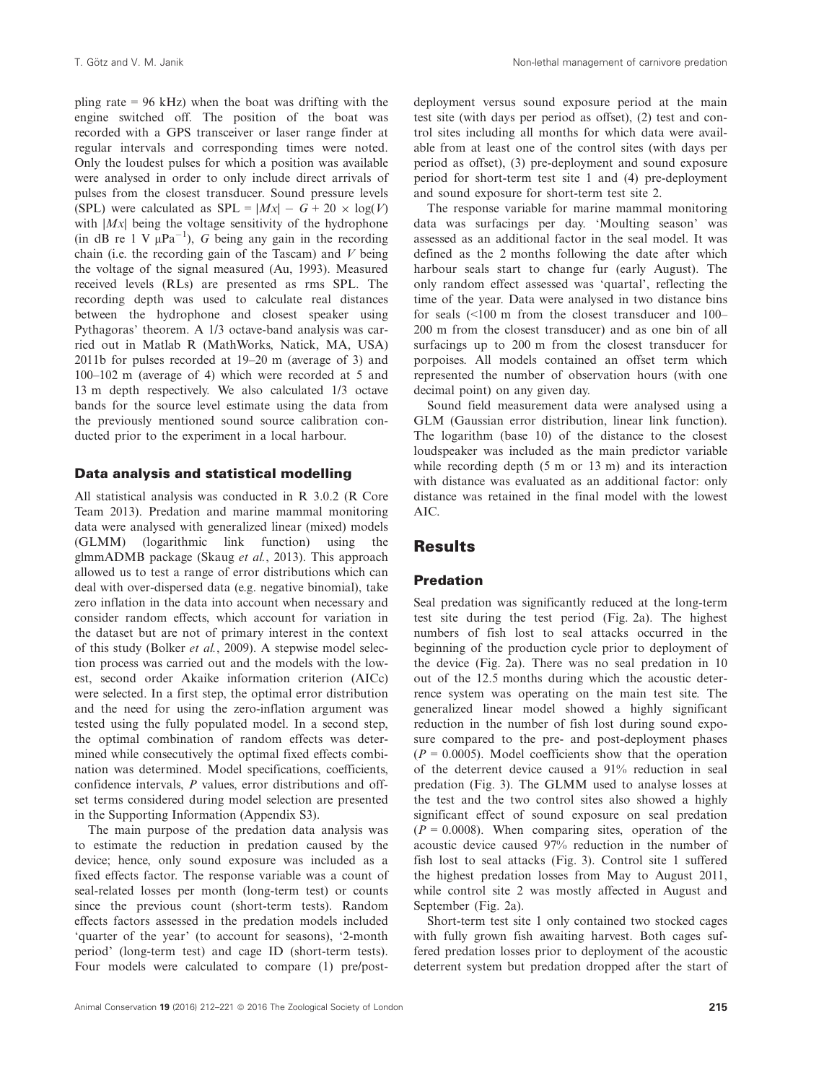pling rate  $= 96$  kHz) when the boat was drifting with the engine switched off. The position of the boat was recorded with a GPS transceiver or laser range finder at regular intervals and corresponding times were noted. Only the loudest pulses for which a position was available were analysed in order to only include direct arrivals of pulses from the closest transducer. Sound pressure levels (SPL) were calculated as  $SPL = |Mx| - G + 20 \times \log(V)$ with  $|Mx|$  being the voltage sensitivity of the hydrophone (in dB re 1 V  $\mu$ Pa<sup>-1</sup>), G being any gain in the recording chain (i.e. the recording gain of the Tascam) and  $V$  being the voltage of the signal measured (Au, 1993). Measured received levels (RLs) are presented as rms SPL. The recording depth was used to calculate real distances between the hydrophone and closest speaker using Pythagoras' theorem. A 1/3 octave-band analysis was carried out in Matlab R (MathWorks, Natick, MA, USA) 2011b for pulses recorded at 19–20 m (average of 3) and 100–102 m (average of 4) which were recorded at 5 and 13 m depth respectively. We also calculated 1/3 octave bands for the source level estimate using the data from the previously mentioned sound source calibration conducted prior to the experiment in a local harbour.

### Data analysis and statistical modelling

All statistical analysis was conducted in R 3.0.2 (R Core Team 2013). Predation and marine mammal monitoring data were analysed with generalized linear (mixed) models (GLMM) (logarithmic link function) using the glmmADMB package (Skaug et al., 2013). This approach allowed us to test a range of error distributions which can deal with over-dispersed data (e.g. negative binomial), take zero inflation in the data into account when necessary and consider random effects, which account for variation in the dataset but are not of primary interest in the context of this study (Bolker et al., 2009). A stepwise model selection process was carried out and the models with the lowest, second order Akaike information criterion (AICc) were selected. In a first step, the optimal error distribution and the need for using the zero-inflation argument was tested using the fully populated model. In a second step, the optimal combination of random effects was determined while consecutively the optimal fixed effects combination was determined. Model specifications, coefficients, confidence intervals, P values, error distributions and offset terms considered during model selection are presented in the Supporting Information (Appendix S3).

The main purpose of the predation data analysis was to estimate the reduction in predation caused by the device; hence, only sound exposure was included as a fixed effects factor. The response variable was a count of seal-related losses per month (long-term test) or counts since the previous count (short-term tests). Random effects factors assessed in the predation models included 'quarter of the year' (to account for seasons), '2-month period' (long-term test) and cage ID (short-term tests). Four models were calculated to compare (1) pre/post-

deployment versus sound exposure period at the main test site (with days per period as offset), (2) test and control sites including all months for which data were available from at least one of the control sites (with days per period as offset), (3) pre-deployment and sound exposure period for short-term test site 1 and (4) pre-deployment and sound exposure for short-term test site 2.

The response variable for marine mammal monitoring data was surfacings per day. 'Moulting season' was assessed as an additional factor in the seal model. It was defined as the 2 months following the date after which harbour seals start to change fur (early August). The only random effect assessed was 'quartal', reflecting the time of the year. Data were analysed in two distance bins for seals (<100 m from the closest transducer and 100– 200 m from the closest transducer) and as one bin of all surfacings up to 200 m from the closest transducer for porpoises. All models contained an offset term which represented the number of observation hours (with one decimal point) on any given day.

Sound field measurement data were analysed using a GLM (Gaussian error distribution, linear link function). The logarithm (base 10) of the distance to the closest loudspeaker was included as the main predictor variable while recording depth (5 m or 13 m) and its interaction with distance was evaluated as an additional factor: only distance was retained in the final model with the lowest  $\Delta$ IC.

# **Results**

#### Predation

Seal predation was significantly reduced at the long-term test site during the test period (Fig. 2a). The highest numbers of fish lost to seal attacks occurred in the beginning of the production cycle prior to deployment of the device (Fig. 2a). There was no seal predation in 10 out of the 12.5 months during which the acoustic deterrence system was operating on the main test site. The generalized linear model showed a highly significant reduction in the number of fish lost during sound exposure compared to the pre- and post-deployment phases  $(P = 0.0005)$ . Model coefficients show that the operation of the deterrent device caused a 91% reduction in seal predation (Fig. 3). The GLMM used to analyse losses at the test and the two control sites also showed a highly significant effect of sound exposure on seal predation  $(P = 0.0008)$ . When comparing sites, operation of the acoustic device caused 97% reduction in the number of fish lost to seal attacks (Fig. 3). Control site 1 suffered the highest predation losses from May to August 2011, while control site 2 was mostly affected in August and September (Fig. 2a).

Short-term test site 1 only contained two stocked cages with fully grown fish awaiting harvest. Both cages suffered predation losses prior to deployment of the acoustic deterrent system but predation dropped after the start of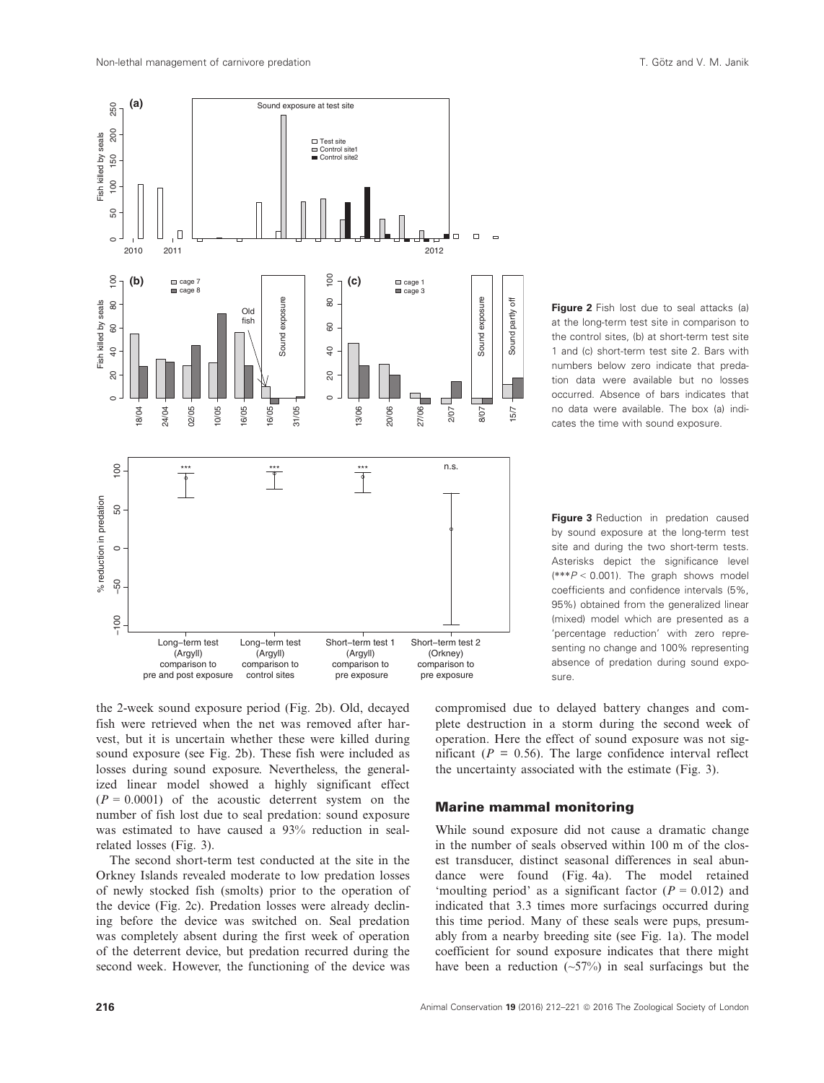

the 2-week sound exposure period (Fig. 2b). Old, decayed fish were retrieved when the net was removed after harvest, but it is uncertain whether these were killed during sound exposure (see Fig. 2b). These fish were included as losses during sound exposure. Nevertheless, the generalized linear model showed a highly significant effect  $(P = 0.0001)$  of the acoustic deterrent system on the number of fish lost due to seal predation: sound exposure was estimated to have caused a 93% reduction in sealrelated losses (Fig. 3).

The second short-term test conducted at the site in the Orkney Islands revealed moderate to low predation losses of newly stocked fish (smolts) prior to the operation of the device (Fig. 2c). Predation losses were already declining before the device was switched on. Seal predation was completely absent during the first week of operation of the deterrent device, but predation recurred during the second week. However, the functioning of the device was

**Figure 2** Fish lost due to seal attacks (a) at the long-term test site in comparison to the control sites, (b) at short-term test site 1 and (c) short-term test site 2. Bars with numbers below zero indicate that predation data were available but no losses occurred. Absence of bars indicates that no data were available. The box (a) indicates the time with sound exposure.

Figure 3 Reduction in predation caused by sound exposure at the long-term test site and during the two short-term tests. Asterisks depict the significance level  $(***P < 0.001)$ . The graph shows model coefficients and confidence intervals (5%, 95%) obtained from the generalized linear (mixed) model which are presented as a 'percentage reduction' with zero representing no change and 100% representing absence of predation during sound exposure.

compromised due to delayed battery changes and complete destruction in a storm during the second week of operation. Here the effect of sound exposure was not significant ( $P = 0.56$ ). The large confidence interval reflect the uncertainty associated with the estimate (Fig. 3).

#### Marine mammal monitoring

While sound exposure did not cause a dramatic change in the number of seals observed within 100 m of the closest transducer, distinct seasonal differences in seal abundance were found (Fig. 4a). The model retained 'moulting period' as a significant factor  $(P = 0.012)$  and indicated that 3.3 times more surfacings occurred during this time period. Many of these seals were pups, presumably from a nearby breeding site (see Fig. 1a). The model coefficient for sound exposure indicates that there might have been a reduction  $(-57%)$  in seal surfacings but the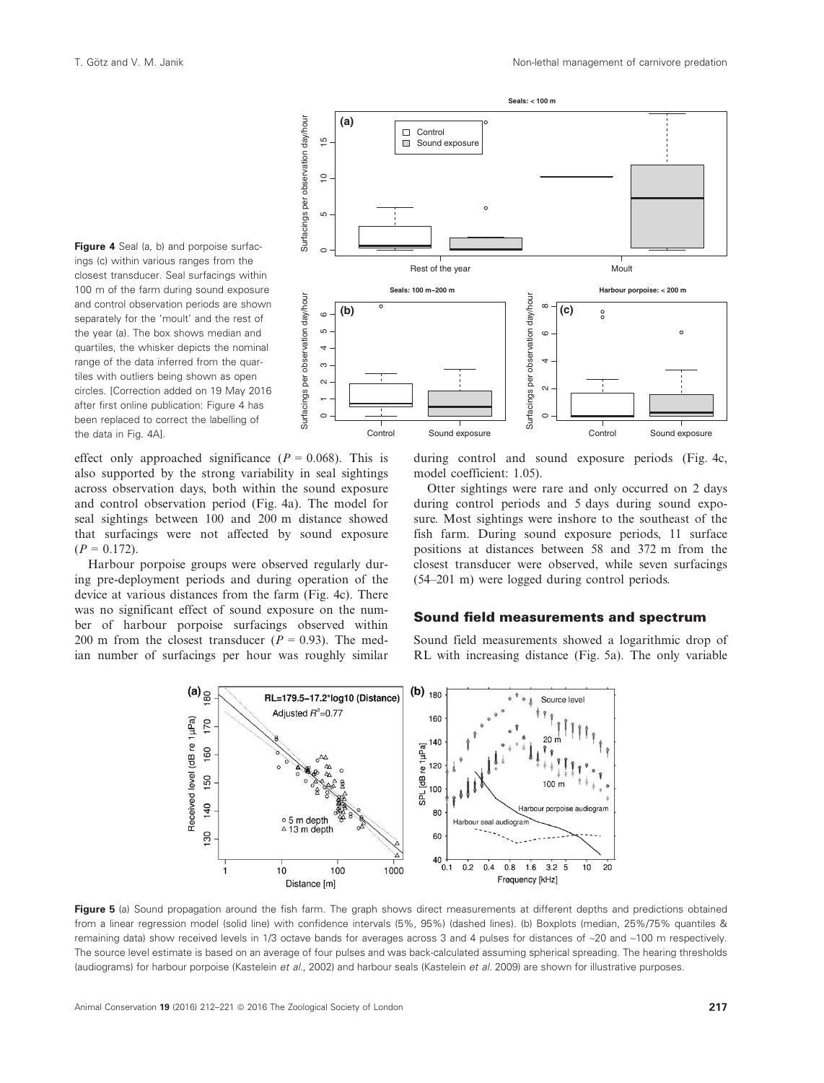

effect only approached significance ( $P = 0.068$ ). This is also supported by the strong variability in seal sightings across observation days, both within the sound exposure and control observation period (Fig. 4a). The model for seal sightings between 100 and 200 m distance showed that surfacings were not affected by sound exposure  $(P = 0.172)$ .

Harbour porpoise groups were observed regularly during pre-deployment periods and during operation of the device at various distances from the farm (Fig. 4c). There was no significant effect of sound exposure on the number of harbour porpoise surfacings observed within 200 m from the closest transducer ( $P = 0.93$ ). The median number of surfacings per hour was roughly similar



during control and sound exposure periods (Fig. 4c, model coefficient: 1.05).

Otter sightings were rare and only occurred on 2 days during control periods and 5 days during sound exposure. Most sightings were inshore to the southeast of the fish farm. During sound exposure periods, 11 surface positions at distances between 58 and 372 m from the closest transducer were observed, while seven surfacings (54–201 m) were logged during control periods.

### Sound field measurements and spectrum

Sound field measurements showed a logarithmic drop of RL with increasing distance (Fig. 5a). The only variable



Figure 5 (a) Sound propagation around the fish farm. The graph shows direct measurements at different depths and predictions obtained from a linear regression model (solid line) with confidence intervals (5%, 95%) (dashed lines). (b) Boxplots (median, 25%/75% quantiles & remaining data) show received levels in 1/3 octave bands for averages across 3 and 4 pulses for distances of ~20 and ~100 m respectively. The source level estimate is based on an average of four pulses and was back-calculated assuming spherical spreading. The hearing thresholds (audiograms) for harbour porpoise (Kastelein et al., 2002) and harbour seals (Kastelein et al. 2009) are shown for illustrative purposes.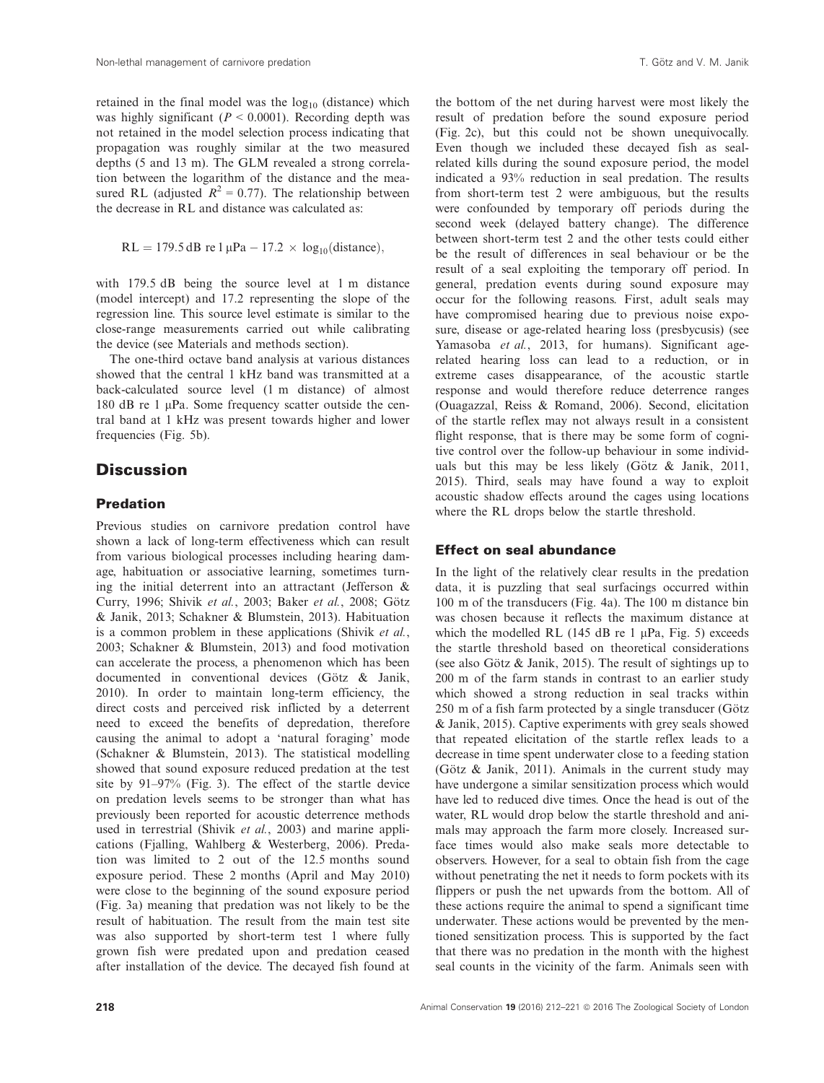retained in the final model was the  $log_{10}$  (distance) which was highly significant ( $P < 0.0001$ ). Recording depth was not retained in the model selection process indicating that propagation was roughly similar at the two measured depths (5 and 13 m). The GLM revealed a strong correlation between the logarithm of the distance and the measured RL (adjusted  $R^2 = 0.77$ ). The relationship between the decrease in RL and distance was calculated as:

$$
RL = 179.5 dB \text{ re } 1 \mu Pa - 17.2 \times \log_{10}(\text{distance}),
$$

with 179.5 dB being the source level at 1 m distance (model intercept) and 17.2 representing the slope of the regression line. This source level estimate is similar to the close-range measurements carried out while calibrating the device (see Materials and methods section).

The one-third octave band analysis at various distances showed that the central 1 kHz band was transmitted at a back-calculated source level (1 m distance) of almost 180 dB re 1  $\mu$ Pa. Some frequency scatter outside the central band at 1 kHz was present towards higher and lower frequencies (Fig. 5b).

# **Discussion**

# Predation

Previous studies on carnivore predation control have shown a lack of long-term effectiveness which can result from various biological processes including hearing damage, habituation or associative learning, sometimes turning the initial deterrent into an attractant (Jefferson & Curry, 1996; Shivik et al., 2003; Baker et al., 2008; Götz & Janik, 2013; Schakner & Blumstein, 2013). Habituation is a common problem in these applications (Shivik et al., 2003; Schakner & Blumstein, 2013) and food motivation can accelerate the process, a phenomenon which has been documented in conventional devices (Götz  $\&$  Janik, 2010). In order to maintain long-term efficiency, the direct costs and perceived risk inflicted by a deterrent need to exceed the benefits of depredation, therefore causing the animal to adopt a 'natural foraging' mode (Schakner & Blumstein, 2013). The statistical modelling showed that sound exposure reduced predation at the test site by 91–97% (Fig. 3). The effect of the startle device on predation levels seems to be stronger than what has previously been reported for acoustic deterrence methods used in terrestrial (Shivik et al., 2003) and marine applications (Fjalling, Wahlberg & Westerberg, 2006). Predation was limited to 2 out of the 12.5 months sound exposure period. These 2 months (April and May 2010) were close to the beginning of the sound exposure period (Fig. 3a) meaning that predation was not likely to be the result of habituation. The result from the main test site was also supported by short-term test 1 where fully grown fish were predated upon and predation ceased after installation of the device. The decayed fish found at

the bottom of the net during harvest were most likely the result of predation before the sound exposure period (Fig. 2c), but this could not be shown unequivocally. Even though we included these decayed fish as sealrelated kills during the sound exposure period, the model indicated a 93% reduction in seal predation. The results from short-term test 2 were ambiguous, but the results were confounded by temporary off periods during the second week (delayed battery change). The difference between short-term test 2 and the other tests could either be the result of differences in seal behaviour or be the result of a seal exploiting the temporary off period. In general, predation events during sound exposure may occur for the following reasons. First, adult seals may have compromised hearing due to previous noise exposure, disease or age-related hearing loss (presbycusis) (see Yamasoba et al., 2013, for humans). Significant agerelated hearing loss can lead to a reduction, or in extreme cases disappearance, of the acoustic startle response and would therefore reduce deterrence ranges (Ouagazzal, Reiss & Romand, 2006). Second, elicitation of the startle reflex may not always result in a consistent flight response, that is there may be some form of cognitive control over the follow-up behaviour in some individuals but this may be less likely (Götz & Janik, 2011, 2015). Third, seals may have found a way to exploit acoustic shadow effects around the cages using locations where the RL drops below the startle threshold.

### Effect on seal abundance

In the light of the relatively clear results in the predation data, it is puzzling that seal surfacings occurred within 100 m of the transducers (Fig. 4a). The 100 m distance bin was chosen because it reflects the maximum distance at which the modelled RL (145 dB re 1  $\mu$ Pa, Fig. 5) exceeds the startle threshold based on theoretical considerations (see also Götz  $\&$  Janik, 2015). The result of sightings up to 200 m of the farm stands in contrast to an earlier study which showed a strong reduction in seal tracks within  $250$  m of a fish farm protected by a single transducer (Götz & Janik, 2015). Captive experiments with grey seals showed that repeated elicitation of the startle reflex leads to a decrease in time spent underwater close to a feeding station (Götz & Janik, 2011). Animals in the current study may have undergone a similar sensitization process which would have led to reduced dive times. Once the head is out of the water, RL would drop below the startle threshold and animals may approach the farm more closely. Increased surface times would also make seals more detectable to observers. However, for a seal to obtain fish from the cage without penetrating the net it needs to form pockets with its flippers or push the net upwards from the bottom. All of these actions require the animal to spend a significant time underwater. These actions would be prevented by the mentioned sensitization process. This is supported by the fact that there was no predation in the month with the highest seal counts in the vicinity of the farm. Animals seen with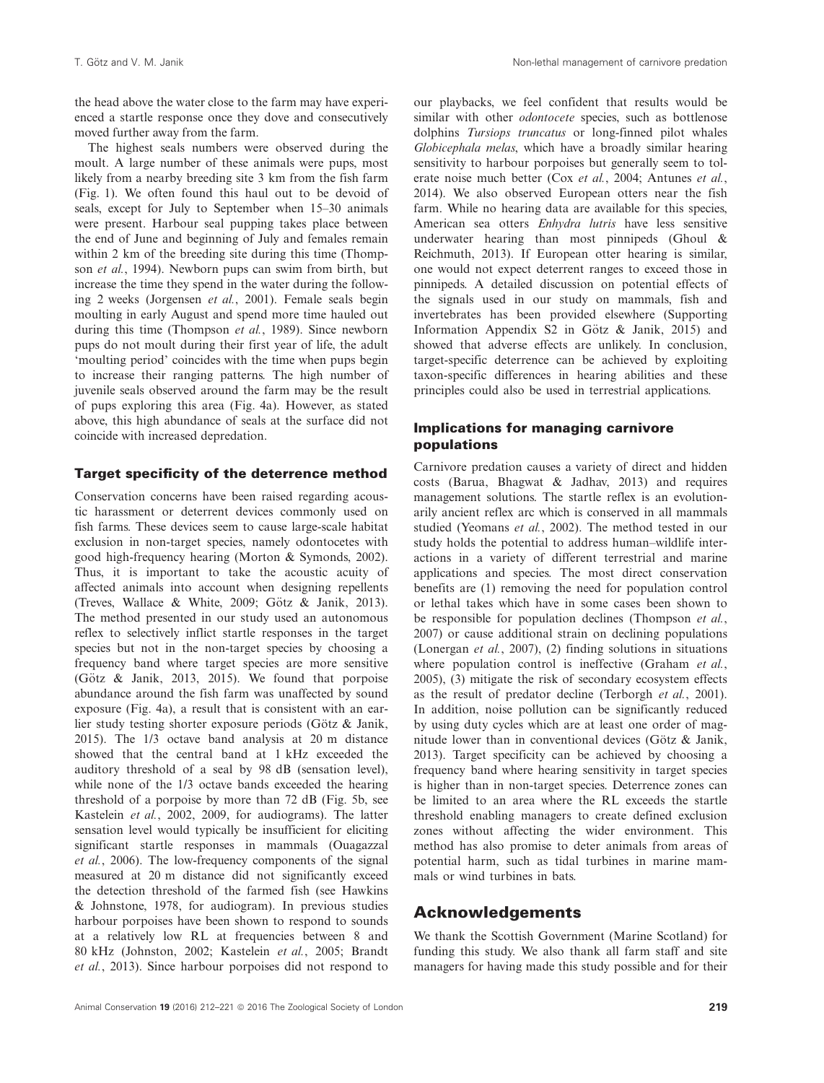the head above the water close to the farm may have experienced a startle response once they dove and consecutively moved further away from the farm.

The highest seals numbers were observed during the moult. A large number of these animals were pups, most likely from a nearby breeding site 3 km from the fish farm (Fig. 1). We often found this haul out to be devoid of seals, except for July to September when 15–30 animals were present. Harbour seal pupping takes place between the end of June and beginning of July and females remain within 2 km of the breeding site during this time (Thompson et al., 1994). Newborn pups can swim from birth, but increase the time they spend in the water during the following 2 weeks (Jorgensen et al., 2001). Female seals begin moulting in early August and spend more time hauled out during this time (Thompson et al., 1989). Since newborn pups do not moult during their first year of life, the adult 'moulting period' coincides with the time when pups begin to increase their ranging patterns. The high number of juvenile seals observed around the farm may be the result of pups exploring this area (Fig. 4a). However, as stated above, this high abundance of seals at the surface did not coincide with increased depredation.

## Target specificity of the deterrence method

Conservation concerns have been raised regarding acoustic harassment or deterrent devices commonly used on fish farms. These devices seem to cause large-scale habitat exclusion in non-target species, namely odontocetes with good high-frequency hearing (Morton & Symonds, 2002). Thus, it is important to take the acoustic acuity of affected animals into account when designing repellents (Treves, Wallace & White, 2009; Götz & Janik, 2013). The method presented in our study used an autonomous reflex to selectively inflict startle responses in the target species but not in the non-target species by choosing a frequency band where target species are more sensitive (Götz & Janik, 2013, 2015). We found that porpoise abundance around the fish farm was unaffected by sound exposure (Fig. 4a), a result that is consistent with an earlier study testing shorter exposure periods (Götz  $\&$  Janik, 2015). The 1/3 octave band analysis at 20 m distance showed that the central band at 1 kHz exceeded the auditory threshold of a seal by 98 dB (sensation level), while none of the 1/3 octave bands exceeded the hearing threshold of a porpoise by more than 72 dB (Fig. 5b, see Kastelein et al., 2002, 2009, for audiograms). The latter sensation level would typically be insufficient for eliciting significant startle responses in mammals (Ouagazzal et al., 2006). The low-frequency components of the signal measured at 20 m distance did not significantly exceed the detection threshold of the farmed fish (see Hawkins & Johnstone, 1978, for audiogram). In previous studies harbour porpoises have been shown to respond to sounds at a relatively low RL at frequencies between 8 and 80 kHz (Johnston, 2002; Kastelein et al., 2005; Brandt et al., 2013). Since harbour porpoises did not respond to

our playbacks, we feel confident that results would be similar with other *odontocete* species, such as bottlenose dolphins Tursiops truncatus or long-finned pilot whales Globicephala melas, which have a broadly similar hearing sensitivity to harbour porpoises but generally seem to tolerate noise much better (Cox et al., 2004; Antunes et al., 2014). We also observed European otters near the fish farm. While no hearing data are available for this species, American sea otters Enhydra lutris have less sensitive underwater hearing than most pinnipeds (Ghoul & Reichmuth, 2013). If European otter hearing is similar, one would not expect deterrent ranges to exceed those in pinnipeds. A detailed discussion on potential effects of the signals used in our study on mammals, fish and invertebrates has been provided elsewhere (Supporting Information Appendix S2 in Götz  $\&$  Janik, 2015) and showed that adverse effects are unlikely. In conclusion, target-specific deterrence can be achieved by exploiting taxon-specific differences in hearing abilities and these principles could also be used in terrestrial applications.

# Implications for managing carnivore populations

Carnivore predation causes a variety of direct and hidden costs (Barua, Bhagwat & Jadhav, 2013) and requires management solutions. The startle reflex is an evolutionarily ancient reflex arc which is conserved in all mammals studied (Yeomans et al., 2002). The method tested in our study holds the potential to address human–wildlife interactions in a variety of different terrestrial and marine applications and species. The most direct conservation benefits are (1) removing the need for population control or lethal takes which have in some cases been shown to be responsible for population declines (Thompson et al., 2007) or cause additional strain on declining populations (Lonergan et al., 2007), (2) finding solutions in situations where population control is ineffective (Graham et al., 2005), (3) mitigate the risk of secondary ecosystem effects as the result of predator decline (Terborgh et al., 2001). In addition, noise pollution can be significantly reduced by using duty cycles which are at least one order of magnitude lower than in conventional devices (Götz  $\&$  Janik, 2013). Target specificity can be achieved by choosing a frequency band where hearing sensitivity in target species is higher than in non-target species. Deterrence zones can be limited to an area where the RL exceeds the startle threshold enabling managers to create defined exclusion zones without affecting the wider environment. This method has also promise to deter animals from areas of potential harm, such as tidal turbines in marine mammals or wind turbines in bats.

# Acknowledgements

We thank the Scottish Government (Marine Scotland) for funding this study. We also thank all farm staff and site managers for having made this study possible and for their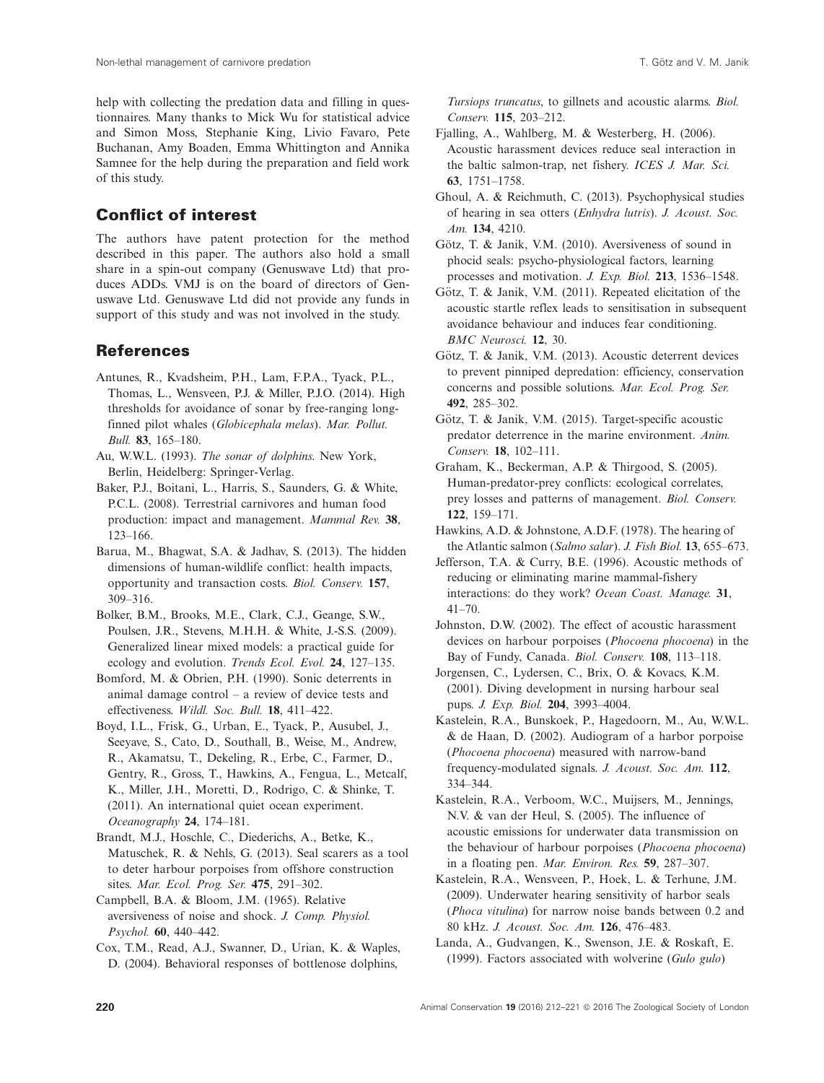help with collecting the predation data and filling in questionnaires. Many thanks to Mick Wu for statistical advice and Simon Moss, Stephanie King, Livio Favaro, Pete Buchanan, Amy Boaden, Emma Whittington and Annika Samnee for the help during the preparation and field work of this study.

# Conflict of interest

The authors have patent protection for the method described in this paper. The authors also hold a small share in a spin-out company (Genuswave Ltd) that produces ADDs. VMJ is on the board of directors of Genuswave Ltd. Genuswave Ltd did not provide any funds in support of this study and was not involved in the study.

# References

- Antunes, R., Kvadsheim, P.H., Lam, F.P.A., Tyack, P.L., Thomas, L., Wensveen, P.J. & Miller, P.J.O. (2014). High thresholds for avoidance of sonar by free-ranging longfinned pilot whales (Globicephala melas). Mar. Pollut. Bull. 83, 165–180.
- Au, W.W.L. (1993). The sonar of dolphins. New York, Berlin, Heidelberg: Springer-Verlag.
- Baker, P.J., Boitani, L., Harris, S., Saunders, G. & White, P.C.L. (2008). Terrestrial carnivores and human food production: impact and management. Mammal Rev. 38, 123–166.
- Barua, M., Bhagwat, S.A. & Jadhav, S. (2013). The hidden dimensions of human-wildlife conflict: health impacts, opportunity and transaction costs. Biol. Conserv. 157, 309–316.
- Bolker, B.M., Brooks, M.E., Clark, C.J., Geange, S.W., Poulsen, J.R., Stevens, M.H.H. & White, J.-S.S. (2009). Generalized linear mixed models: a practical guide for ecology and evolution. Trends Ecol. Evol. 24, 127–135.
- Bomford, M. & Obrien, P.H. (1990). Sonic deterrents in animal damage control – a review of device tests and effectiveness. Wildl. Soc. Bull. 18, 411–422.
- Boyd, I.L., Frisk, G., Urban, E., Tyack, P., Ausubel, J., Seeyave, S., Cato, D., Southall, B., Weise, M., Andrew, R., Akamatsu, T., Dekeling, R., Erbe, C., Farmer, D., Gentry, R., Gross, T., Hawkins, A., Fengua, L., Metcalf, K., Miller, J.H., Moretti, D., Rodrigo, C. & Shinke, T. (2011). An international quiet ocean experiment. Oceanography 24, 174–181.
- Brandt, M.J., Hoschle, C., Diederichs, A., Betke, K., Matuschek, R. & Nehls, G. (2013). Seal scarers as a tool to deter harbour porpoises from offshore construction sites. Mar. Ecol. Prog. Ser. 475, 291–302.

Campbell, B.A. & Bloom, J.M. (1965). Relative aversiveness of noise and shock. J. Comp. Physiol. Psychol. 60, 440–442.

Cox, T.M., Read, A.J., Swanner, D., Urian, K. & Waples, D. (2004). Behavioral responses of bottlenose dolphins,

Tursiops truncatus, to gillnets and acoustic alarms. Biol. Conserv. 115, 203–212.

- Fjalling, A., Wahlberg, M. & Westerberg, H. (2006). Acoustic harassment devices reduce seal interaction in the baltic salmon-trap, net fishery. ICES J. Mar. Sci. 63, 1751–1758.
- Ghoul, A. & Reichmuth, C. (2013). Psychophysical studies of hearing in sea otters (Enhydra lutris). J. Acoust. Soc. Am. 134, 4210.
- Götz, T. & Janik, V.M.  $(2010)$ . Aversiveness of sound in phocid seals: psycho-physiological factors, learning processes and motivation. J. Exp. Biol. 213, 1536–1548.
- Götz, T. & Janik, V.M. (2011). Repeated elicitation of the acoustic startle reflex leads to sensitisation in subsequent avoidance behaviour and induces fear conditioning. BMC Neurosci. 12, 30.
- Götz, T. & Janik, V.M. (2013). Acoustic deterrent devices to prevent pinniped depredation: efficiency, conservation concerns and possible solutions. Mar. Ecol. Prog. Ser. 492, 285–302.
- Götz, T. & Janik, V.M. (2015). Target-specific acoustic predator deterrence in the marine environment. Anim. Conserv. 18, 102–111.
- Graham, K., Beckerman, A.P. & Thirgood, S. (2005). Human-predator-prey conflicts: ecological correlates, prey losses and patterns of management. Biol. Conserv. 122, 159–171.
- Hawkins, A.D. & Johnstone, A.D.F. (1978). The hearing of the Atlantic salmon (Salmo salar). J. Fish Biol. 13, 655–673.
- Jefferson, T.A. & Curry, B.E. (1996). Acoustic methods of reducing or eliminating marine mammal-fishery interactions: do they work? Ocean Coast. Manage. 31,  $41 - 70.$
- Johnston, D.W. (2002). The effect of acoustic harassment devices on harbour porpoises (Phocoena phocoena) in the Bay of Fundy, Canada. Biol. Conserv. 108, 113–118.
- Jorgensen, C., Lydersen, C., Brix, O. & Kovacs, K.M. (2001). Diving development in nursing harbour seal pups. J. Exp. Biol. 204, 3993–4004.
- Kastelein, R.A., Bunskoek, P., Hagedoorn, M., Au, W.W.L. & de Haan, D. (2002). Audiogram of a harbor porpoise (Phocoena phocoena) measured with narrow-band frequency-modulated signals. J. Acoust. Soc. Am. 112, 334–344.
- Kastelein, R.A., Verboom, W.C., Muijsers, M., Jennings, N.V. & van der Heul, S. (2005). The influence of acoustic emissions for underwater data transmission on the behaviour of harbour porpoises (Phocoena phocoena) in a floating pen. Mar. Environ. Res. 59, 287–307.
- Kastelein, R.A., Wensveen, P., Hoek, L. & Terhune, J.M. (2009). Underwater hearing sensitivity of harbor seals (Phoca vitulina) for narrow noise bands between 0.2 and 80 kHz. J. Acoust. Soc. Am. 126, 476–483.
- Landa, A., Gudvangen, K., Swenson, J.E. & Roskaft, E. (1999). Factors associated with wolverine (Gulo gulo)